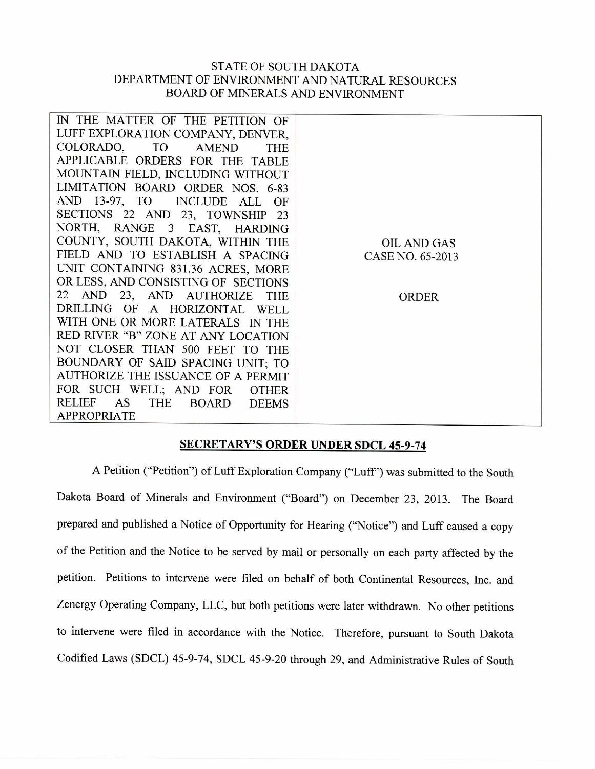## STATE OF SOUTH DAKOTA DEPARTMENT OF ENVIRONMENT AND NATURAL RESOURCES BOARD OF MINERALS AND ENVIRONMENT

| IN THE MATTER OF THE PETITION OF             |                    |
|----------------------------------------------|--------------------|
| LUFF EXPLORATION COMPANY, DENVER,            |                    |
| COLORADO, TO<br><b>AMEND</b><br><b>THE</b>   |                    |
| APPLICABLE ORDERS FOR THE TABLE              |                    |
| MOUNTAIN FIELD, INCLUDING WITHOUT            |                    |
| LIMITATION BOARD ORDER NOS. 6-83             |                    |
| AND 13-97, TO<br>INCLUDE ALL OF              |                    |
| SECTIONS 22 AND 23, TOWNSHIP 23              |                    |
| NORTH, RANGE 3 EAST, HARDING                 |                    |
| COUNTY, SOUTH DAKOTA, WITHIN THE             | <b>OIL AND GAS</b> |
| FIELD AND TO ESTABLISH A SPACING             | CASE NO. 65-2013   |
| UNIT CONTAINING 831.36 ACRES, MORE           |                    |
| OR LESS, AND CONSISTING OF SECTIONS          |                    |
| 22 AND 23, AND AUTHORIZE<br><b>THE</b>       | <b>ORDER</b>       |
| DRILLING OF A HORIZONTAL WELL                |                    |
| WITH ONE OR MORE LATERALS IN THE             |                    |
| RED RIVER "B" ZONE AT ANY LOCATION           |                    |
| NOT CLOSER THAN 500 FEET TO THE              |                    |
| BOUNDARY OF SAID SPACING UNIT; TO            |                    |
| AUTHORIZE THE ISSUANCE OF A PERMIT           |                    |
| FOR SUCH WELL; AND FOR<br><b>OTHER</b>       |                    |
| AS<br>RELIEF<br>THE<br>BOARD<br><b>DEEMS</b> |                    |
| <b>APPROPRIATE</b>                           |                    |

## **SECRETARY'S ORDER UNDER SDCL 45-9-74**

A Petition ("Petition") of Luff Exploration Company ("Luff') was submitted to the South Dakota Board of Minerals and Environment ("Board") on December 23, 2013. The Board prepared and published a Notice of Opportunity for Hearing ("Notice") and Luff caused a copy of the Petition and the Notice to be served by mail or personally on each party affected by the petition. Petitions to intervene were filed on behalf of both Continental Resources, Inc. and Zenergy Operating Company, LLC, but both petitions were later withdrawn. No other petitions to intervene were filed in accordance with the Notice. Therefore, pursuant to South Dakota Codified Laws (SDCL) 45-9-74, SDCL 45-9-20 through 29, and Administrative Rules of South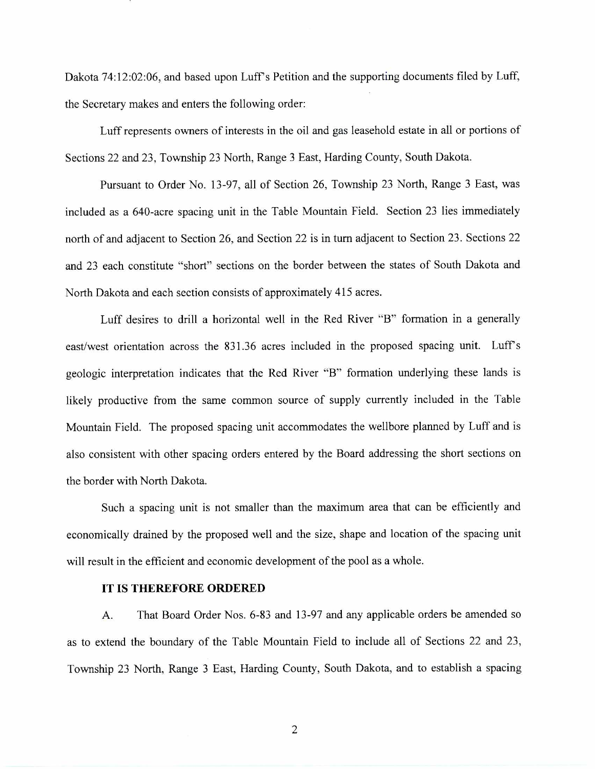Dakota 74:12:02:06, and based upon Luff's Petition and the supporting documents filed by Luff, the Secretary makes and enters the following order:

Luff represents owners of interests in the oil and gas leasehold estate in all or portions of Sections 22 and 23, Township 23 North, Range 3 East, Harding County, South Dakota.

Pursuant to Order No. 13-97, all of Section 26, Township 23 North, Range 3 East, was included as a 640-acre spacing unit in the Table Mountain Field. Section 23 lies immediately north of and adjacent to Section 26, and Section 22 is in turn adjacent to Section 23. Sections 22 and 23 each constitute "short" sections on the border between the states of South Dakota and North Dakota and each section consists of approximately 415 acres.

Luff desires to drill a horizontal well in the Red River "B" formation in a generally east/west orientation across the 831.36 acres included in the proposed spacing unit. Luff's geologic interpretation indicates that the Red River "B" formation underlying these lands is likely productive from the same common source of supply currently included in the Table Mountain Field. The proposed spacing unit accommodates the wellbore planned by Luff and is also consistent with other spacing orders entered by the Board addressing the short sections on the border with North Dakota.

Such a spacing unit is not smaller than the maximum area that can be efficiently and economically drained by the proposed well and the size, shape and location of the spacing unit will result in the efficient and economic development of the pool as a whole.

## IT IS THEREFORE ORDERED

A. That Board Order Nos. 6-83 and 13-97 and any applicable orders be amended so as to extend the boundary of the Table Mountain Field to include all of Sections 22 and 23, Township 23 North, Range 3 East, Harding County, South Dakota, and to establish a spacing

2